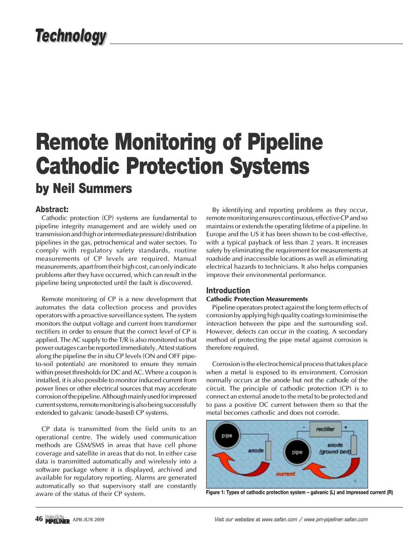# **Technology**

# **Remote Monitoring of Pipeline Cathodic Protection Systems by Neil Summers**

# **Abstract:**

Cathodic protection (CP) systems are fundamental to pipeline integrity management and are widely used on transmission and (high or intermediate pressure) distribution pipelines in the gas, petrochemical and water sectors. To comply with regulatory safety standards, routine measurements of CP levels are required. Manual measurements, apart from their high cost, can only indicate problems after they have occurred, which can result in the pipeline being unprotected until the fault is discovered.

Remote monitoring of CP is a new development that automates the data collection process and provides operators with a proactive surveillance system. The system monitors the output voltage and current from transformer rectifiers in order to ensure that the correct level of CP is applied. The AC supply to the T/R is also monitored so that power outages can be reported immediately. At test stations along the pipeline the in situ CP levels (ON and OFF pipeto-soil potentials) are monitored to ensure they remain within preset thresholds for DC and AC. Where a coupon is installed, it is also possible to monitor induced current from power lines or other electrical sources that may accelerate corrosion of the pipeline. Although mainly used for impressed current systems, remote monitoring is also being successfully extended to galvanic (anode-based) CP systems.

CP data is transmitted from the field units to an operational centre. The widely used communication methods are GSM/SMS in areas that have cell phone coverage and satellite in areas that do not. In either case data is transmitted automatically and wirelessly into a software package where it is displayed, archived and available for regulatory reporting. Alarms are generated automatically so that supervisory staff are constantly aware of the status of their CP system.

By identifying and reporting problems as they occur, remote monitoring ensures continuous, effective CP and so maintains or extends the operating lifetime of a pipeline. In Europe and the US it has been shown to be cost-effective, with a typical payback of less than 2 years. It increases safety by eliminating the requirement for measurements at roadside and inaccessible locations as well as eliminating electrical hazards to technicians. It also helps companies improve their environmental performance.

## **Introduction**

#### **Cathodic Protection Measurements**

Pipeline operators protect against the long term effects of corrosion by applying high quality coatings to minimise the interaction between the pipe and the surrounding soil. However, defects can occur in the coating. A secondary method of protecting the pipe metal against corrosion is therefore required.

Corrosion is the electrochemical process that takes place when a metal is exposed to its environment. Corrosion normally occurs at the anode but not the cathode of the circuit. The principle of cathodic protection (CP) is to connect an external anode to the metal to be protected and to pass a positive DC current between them so that the metal becomes cathodic and does not corrode.



**Figure 1: Types of cathodic protection system – galvanic (L) and impressed current (R)**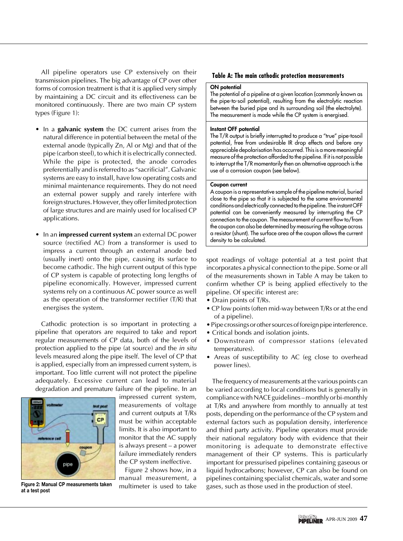All pipeline operators use CP extensively on their transmission pipelines. The big advantage of CP over other forms of corrosion treatment is that it is applied very simply by maintaining a DC circuit and its effectiveness can be monitored continuously. There are two main CP system types (Figure 1):

- In a **galvanic system** the DC current arises from the natural difference in potential between the metal of the external anode (typically Zn, Al or Mg) and that of the pipe (carbon steel), to which it is electrically connected. While the pipe is protected, the anode corrodes preferentially and is referred to as "sacrificial". Galvanic systems are easy to install, have low operating costs and minimal maintenance requirements. They do not need an external power supply and rarely interfere with foreign structures. However, they offer limited protection of large structures and are mainly used for localised CP applications.
- In an **impressed current system** an external DC power source (rectified AC) from a transformer is used to impress a current through an external anode bed (usually inert) onto the pipe, causing its surface to become cathodic. The high current output of this type of CP system is capable of protecting long lengths of pipeline economically. However, impressed current systems rely on a continuous AC power source as well as the operation of the transformer rectifier (T/R) that energises the system.

Cathodic protection is so important in protecting a pipeline that operators are required to take and report regular measurements of CP data, both of the levels of protection applied to the pipe (at source) and the in situ levels measured along the pipe itself. The level of CP that is applied, especially from an impressed current system, is important. Too little current will not protect the pipeline adequately. Excessive current can lead to material degradation and premature failure of the pipeline. In an



**at a test post**

impressed current system, measurements of voltage and current outputs at T/Rs must be within acceptable limits. It is also important to monitor that the AC supply is always present – a power failure immediately renders the CP system ineffective.

Figure 2 shows how, in a manual measurement, a multimeter is used to take

#### **Table A: The main cathodic protection measurements**

#### **ON potential**

The potential of a pipeline at a given location (commonly known as the pipe-to-soil potential), resulting from the electrolytic reaction between the buried pipe and its surrounding soil (the electrolyte). The measurement is made while the CP system is energised.

#### **Instant OFF potential**

The T/R output is briefly interrupted to produce a "true" pipe-tosoil potential, free from undesirable IR drop effects and before any appreciable depolarisation has occurred. This is a more meaningful measure of the protection afforded to the pipeline. If it is not possible to interrupt the T/R momentarily then an alternative approach is the use of a corrosion coupon (see below).

#### **Coupon current**

A coupon is a representative sample of the pipeline material, buried close to the pipe so that it is subjected to the same environmental conditions and electrically connected to the pipeline. The instant OFF potential can be conveniently measured by interrupting the CP connection to the coupon. The measurement of current flow to/from the coupon can also be determined by measuring the voltage across a resistor (shunt). The surface area of the coupon allows the current density to be calculated.

spot readings of voltage potential at a test point that incorporates a physical connection to the pipe. Some or all of the measurements shown in Table A may be taken to confirm whether CP is being applied effectively to the pipeline. Of specific interest are:

- Drain points of T/Rs.
- CP low points (often mid-way between T/Rs or at the end of a pipeline).
- Pipe crossings or other sources of foreign pipe interference.
- Critical bonds and isolation joints.
- Downstream of compressor stations (elevated temperatures).
- Areas of susceptibility to AC (eg close to overhead power lines).

The frequency of measurements at the various points can be varied according to local conditions but is generally in compliance with NACE guidelines – monthly or bi-monthly at T/Rs and anywhere from monthly to annually at test posts, depending on the performance of the CP system and external factors such as population density, interference and third party activity. Pipeline operators must provide their national regulatory body with evidence that their monitoring is adequate to demonstrate effective management of their CP systems. This is particularly important for pressurised pipelines containing gaseous or liquid hydrocarbons; however, CP can also be found on pipelines containing specialist chemicals, water and some Figure 2: Manual CP measurements taken multimeter is used to take gases, such as those used in the production of steel.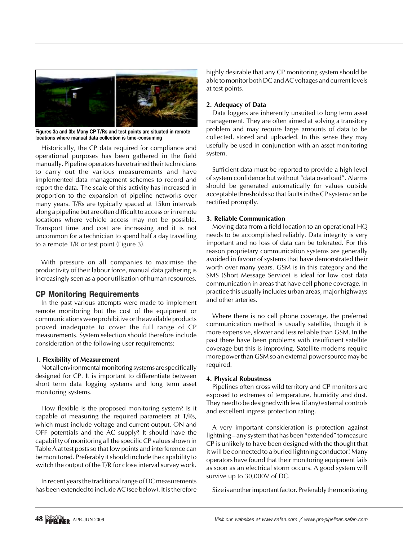

**Figures 3a and 3b: Many CP T/Rs and test points are situated in remote locations where manual data collection is time-consuming**

Historically, the CP data required for compliance and operational purposes has been gathered in the field manually. Pipeline operators have trained their technicians to carry out the various measurements and have implemented data management schemes to record and report the data. The scale of this activity has increased in proportion to the expansion of pipeline networks over many years. T/Rs are typically spaced at 15km intervals along a pipeline but are often difficult to access or in remote locations where vehicle access may not be possible. Transport time and cost are increasing and it is not uncommon for a technician to spend half a day travelling to a remote T/R or test point (Figure 3).

With pressure on all companies to maximise the productivity of their labour force, manual data gathering is increasingly seen as a poor utilisation of human resources.

## **CP Monitoring Requirements**

In the past various attempts were made to implement remote monitoring but the cost of the equipment or communications were prohibitive or the available products proved inadequate to cover the full range of CP measurements. System selection should therefore include consideration of the following user requirements:

#### **1. Flexibility of Measurement**

Not all environmental monitoring systems are specifically designed for CP. It is important to differentiate between short term data logging systems and long term asset monitoring systems.

How flexible is the proposed monitoring system? Is it capable of measuring the required parameters at T/Rs, which must include voltage and current output, ON and OFF potentials and the AC supply? It should have the capability of monitoring all the specific CP values shown in Table A at test posts so that low points and interference can be monitored. Preferably it should include the capability to switch the output of the T/R for close interval survey work.

In recent years the traditional range of DC measurements has been extended to include AC (see below). It is therefore highly desirable that any CP monitoring system should be able to monitor both DC and AC voltages and current levels at test points.

#### **2. Adequacy of Data**

Data loggers are inherently unsuited to long term asset management. They are often aimed at solving a transitory problem and may require large amounts of data to be collected, stored and uploaded. In this sense they may usefully be used in conjunction with an asset monitoring system.

Sufficient data must be reported to provide a high level of system confidence but without "data overload". Alarms should be generated automatically for values outside acceptable thresholds so that faults in the CP system can be rectified promptly.

## **3. Reliable Communication**

Moving data from a field location to an operational HQ needs to be accomplished reliably. Data integrity is very important and no loss of data can be tolerated. For this reason proprietary communication systems are generally avoided in favour of systems that have demonstrated their worth over many years. GSM is in this category and the SMS (Short Message Service) is ideal for low cost data communication in areas that have cell phone coverage. In practice this usually includes urban areas, major highways and other arteries.

Where there is no cell phone coverage, the preferred communication method is usually satellite, though it is more expensive, slower and less reliable than GSM. In the past there have been problems with insufficient satellite coverage but this is improving. Satellite modems require more power than GSM so an external power source may be required.

## **4. Physical Robustness**

Pipelines often cross wild territory and CP monitors are exposed to extremes of temperature, humidity and dust. They need to be designed with few (if any) external controls and excellent ingress protection rating.

A very important consideration is protection against lightning – any system that has been "extended" to measure CP is unlikely to have been designed with the thought that it will be connected to a buried lightning conductor! Many operators have found that their monitoring equipment fails as soon as an electrical storm occurs. A good system will survive up to 30,000V of DC.

Size is another important factor. Preferably the monitoring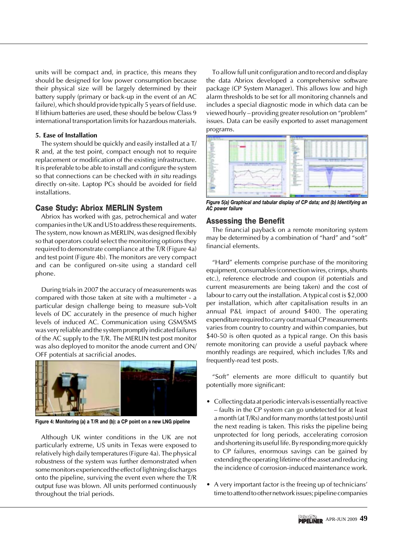units will be compact and, in practice, this means they should be designed for low power consumption because their physical size will be largely determined by their battery supply (primary or back-up in the event of an AC failure), which should provide typically 5 years of field use. If lithium batteries are used, these should be below Class 9 international transportation limits for hazardous materials.

#### **5. Ease of Installation**

The system should be quickly and easily installed at a T/ R and, at the test point, compact enough not to require replacement or modification of the existing infrastructure. It is preferable to be able to install and configure the system so that connections can be checked with *in situ* readings directly on-site. Laptop PCs should be avoided for field installations.

## **Case Study: Abriox MERLIN System**

Abriox has worked with gas, petrochemical and water companies in the UK and US to address these requirements. The system, now known as MERLIN, was designed flexibly so that operators could select the monitoring options they required to demonstrate compliance at the T/R (Figure 4a) and test point (Figure 4b). The monitors are very compact and can be configured on-site using a standard cell phone.

During trials in 2007 the accuracy of measurements was compared with those taken at site with a multimeter - a particular design challenge being to measure sub-Volt levels of DC accurately in the presence of much higher levels of induced AC. Communication using GSM/SMS was very reliable and the system promptly indicated failures of the AC supply to the T/R. The MERLIN test post monitor was also deployed to monitor the anode current and ON/ OFF potentials at sacrificial anodes.



**Figure 4: Monitoring (a) a T/R and (b): a CP point on a new LNG pipeline**

Although UK winter conditions in the UK are not particularly extreme, US units in Texas were exposed to relatively high daily temperatures (Figure 4a). The physical robustness of the system was further demonstrated when some monitors experienced the effect of lightning discharges onto the pipeline, surviving the event even where the T/R output fuse was blown. All units performed continuously throughout the trial periods.

To allow full unit configuration and to record and display the data Abriox developed a comprehensive software package (CP System Manager). This allows low and high alarm thresholds to be set for all monitoring channels and includes a special diagnostic mode in which data can be viewed hourly – providing greater resolution on "problem" issues. Data can be easily exported to asset management programs.



*Figure 5(a) Graphical and tabular display of CP data; and (b) Identifying an AC power failure*

## **Assessing the Benefit**

The financial payback on a remote monitoring system may be determined by a combination of "hard" and "soft" financial elements.

"Hard" elements comprise purchase of the monitoring equipment, consumables (connection wires, crimps, shunts etc.), reference electrode and coupon (if potentials and current measurements are being taken) and the cost of labour to carry out the installation. A typical cost is \$2,000 per installation, which after capitalisation results in an annual P&L impact of around \$400. The operating expenditure required to carry out manual CP measurements varies from country to country and within companies, but \$40-50 is often quoted as a typical range. On this basis remote monitoring can provide a useful payback where monthly readings are required, which includes T/Rs and frequently-read test posts.

"Soft" elements are more difficult to quantify but potentially more significant:

- Collecting data at periodic intervals is essentially reactive – faults in the CP system can go undetected for at least a month (at T/Rs) and for many months (at test posts) until the next reading is taken. This risks the pipeline being unprotected for long periods, accelerating corrosion and shortening its useful life. By responding more quickly to CP failures, enormous savings can be gained by extending the operating lifetime of the asset and reducing the incidence of corrosion-induced maintenance work.
- A very important factor is the freeing up of technicians' time to attend to other network issues; pipeline companies